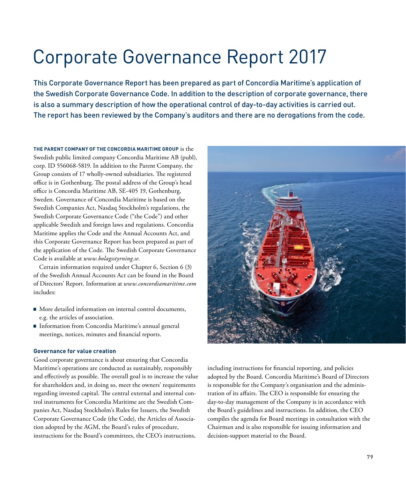# Corporate Governance Report 2017

This Corporate Governance Report has been prepared as part of Concordia Maritime's application of the Swedish Corporate Governance Code. In addition to the description of corporate governance, there is also a summary description of how the operational control of day-to-day activities is carried out. The report has been reviewed by the Company's auditors and there are no derogations from the code.

**THE PARENT COMPANY OF THE CONCORDIA MARITIME GROUP** is the Swedish public limited company Concordia Maritime AB (publ), corp. ID 556068-5819. In addition to the Parent Company, the Group consists of 17 wholly-owned subsidiaries. The registered office is in Gothenburg. The postal address of the Group's head office is Concordia Maritime AB, SE-405 19, Gothenburg, Sweden. Governance of Concordia Maritime is based on the Swedish Companies Act, Nasdaq Stockholm's regulations, the Swedish Corporate Governance Code ("the Code") and other applicable Swedish and foreign laws and regulations. Concordia Maritime applies the Code and the Annual Accounts Act, and this Corporate Governance Report has been prepared as part of the application of the Code. The Swedish Corporate Governance Code is available at *www.bolagsstyrning.se.*

Certain information required under Chapter 6, Section 6 (3) of the Swedish Annual Accounts Act can be found in the Board of Directors' Report. Information at *www.concordiamaritime.com*  includes:

- More detailed information on internal control documents, e.g. the articles of association.
- Information from Concordia Maritime's annual general meetings, notices, minutes and financial reports.

# **Governance for value creation**

Good corporate governance is about ensuring that Concordia Maritime's operations are conducted as sustainably, responsibly and effectively as possible. The overall goal is to increase the value for shareholders and, in doing so, meet the owners' requirements regarding invested capital. The central external and internal control instruments for Concordia Maritime are the Swedish Companies Act, Nasdaq Stockholm's Rules for Issuers, the Swedish Corporate Governance Code (the Code), the Articles of Association adopted by the AGM, the Board's rules of procedure, instructions for the Board's committees, the CEO's instructions,



including instructions for financial reporting, and policies adopted by the Board. Concordia Maritime's Board of Directors is responsible for the Company's organisation and the administration of its affairs. The CEO is responsible for ensuring the day-to-day management of the Company is in accordance with the Board's guidelines and instructions. In addition, the CEO compiles the agenda for Board meetings in consultation with the Chairman and is also responsible for issuing information and decision-support material to the Board.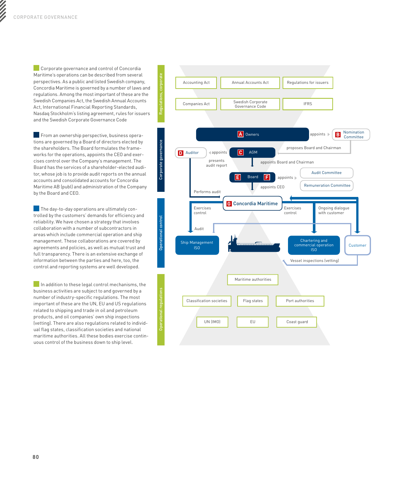**Corporate governance and control of Concordia** Maritime's operations can be described from several perspectives. As a public and listed Swedish company, Concordia Maritime is governed by a number of laws and regulations. Among the most important of these are the Swedish Companies Act, the Swedish Annual Accounts Act, International Financial Reporting Standards, Nasdaq Stockholm's listing agreement, rules for issuers and the Swedish Corporate Governance Code

From an ownership perspective, business operations are governed by a Board of directors elected by the shareholders. The Board formulates the frameworks for the operations, appoints the CEO and exercises control over the Company's management. The Board has the services of a shareholder-elected auditor, whose job is to provide audit reports on the annual accounts and consolidated accounts for Concordia Maritime AB (publ) and administration of the Company by the Board and CEO.

The day-to-day operations are ultimately controlled by the customers' demands for efficiency and reliability. We have chosen a strategy that involves collaboration with a number of subcontractors in areas which include commercial operation and ship management. These collaborations are covered by agreements and policies, as well as mutual trust and full transparency. There is an extensive exchange of information between the parties and here, too, the control and reporting systems are well developed.

In addition to these legal control mechanisms, the business activities are subject to and governed by a number of industry-specific regulations. The most important of these are the UN, EU and US regulations related to shipping and trade in oil and petroleum products, and oil companies' own ship inspections (vetting). There are also regulations related to individual flag states, classification societies and national maritime authorities. All these bodies exercise continuous control of the business down to ship level.

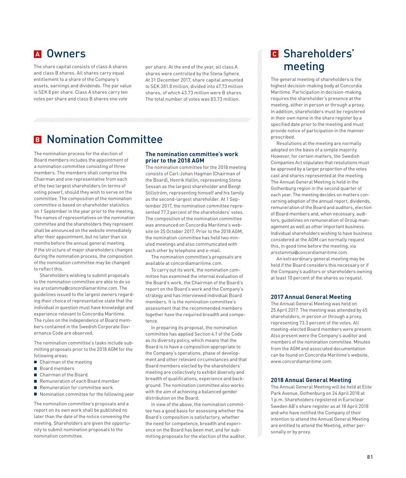The share capital consists of class A shares and class B shares. All shares carry equal entitlement to a share of the Company's assets, earnings and dividends. The par value is SEK 8 per share. Class A shares carry ten votes per share and class B shares one vote

per share. At the end of the year, all class A shares were controlled by the Stena Sphere. At 31 December 2017, share capital amounted to SEK 381.8 million, divided into 47.73 million shares, of which 43.73 million were B shares. The total number of votes was 83.73 million.

# **B** Nomination Committee

The nomination process for the election of Board members includes the appointment of a nomination committee consisting of three members. The members shall comprise the Chairman and one representative from each of the two largest shareholders (in terms of voting power), should they wish to serve on the committee. The composition of the nomination committee is based on shareholder statistics on 1 September in the year prior to the meeting. The names of representatives on the nomination committee and the shareholders they represent shall be announced on the website immediately after their appointment, but no later than six months before the annual general meeting. If the structure of major shareholders changes during the nomination process, the composition of the nomination committee may be changed to reflect this.

Shareholders wishing to submit proposals to the nomination committee are able to do so via *arsstamma@concordiamaritime.com*. The guidelines issued to the largest owners regarding their choice of representative state that the individual in question must have knowledge and experience relevant to Concordia Maritime. The rules on the independence of Board members contained in the Swedish Corporate Governance Code are observed.

The nomination committee's tasks include submitting proposals prior to the 2018 AGM for the following areas:

- Chairman of the meeting
- Board members
- Chairman of the Board
- Remuneration of each Board member
- Remuneration for committee work
- Nomination committee for the following year

The nomination committee's proposals and a report on its own work shall be published no later than the date of the notice convening the meeting. Shareholders are given the opportunity to submit nomination proposals to the nomination committee.

### **The nomination committee's work prior to the 2018 AGM**

The nomination committee for the 2018 meeting consists of Carl-Johan Hagman (Chairman of the Board), Henrik Hallin, representing Stena Sessan as the largest shareholder and Bengt Stillström, representing himself and his family as the second-largest shareholder. At 1 September 2017, the nomination committee represented 77.2 percent of the shareholders' votes. The composition of the nomination committee was announced on Concordia Maritime's website on 25 October 2017. Prior to the 2018 AGM, the nomination committee has held two minuted meetings and also communicated with each other by telephone and e-mail.

The nomination committee's proposals are available at concordiamaritime.com.

To carry out its work, the nomination committee has examined the internal evaluation of the Board's work, the Chairman of the Board's report on the Board's work and the Company's strategy and has interviewed individual Board members. It is the nomination committee's assessment that the recommended members together have the required breadth and competence.

In preparing its proposal, the nomination committee has applied Section 4.1 of the Code as its diversity policy, which means that the Board is to have a composition appropriate to the Company's operations, phase of development and other relevant circumstances and that Board members elected by the shareholders' meeting are collectively to exhibit diversity and breadth of qualifications, experience and background. The nomination committee also works with the aim of achieving a balanced gender distribution on the Board.

In view of the above, the nomination committee has a good basis for assessing whether the Board's composition is satisfactory, whether the need for competence, breadth and experience on the Board has been met, and for submitting proposals for the election of the auditor.

# **<sup>A</sup>** Owners **<sup>C</sup>** Shareholders' meeting

The general meeting of shareholders is the highest decision-making body at Concordia Maritime. Participation in decision-making, requires the shareholder's presence at the meeting, either in person or through a proxy. In addition, shareholders must be registered in their own name in the share register by a specified date prior to the meeting and must provide notice of participation in the manner prescribed.

Resolutions at the meeting are normally adopted on the basis of a simple majority. However, for certain matters, the Swedish Companies Act stipulates that resolutions must be approved by a larger proportion of the votes cast and shares represented at the meeting. The Annual General Meeting is held in the Gothenburg region in the second quarter of each year. The meeting decides on matters concerning adoption of the annual report, dividends, remuneration of the Board and auditors, election of Board members and, when necessary, auditors, guidelines on remuneration of Group management as well as other important business. Individual shareholders wishing to have business considered at the AGM can normally request this, in good time before the meeting, via *arsstamma@concordiamaritime.com.*

An extraordinary general meeting may be held if the Board considers this necessary or if the Company's auditors or shareholders owning at least 10 percent of the shares so request.

# **2017 Annual General Meeting**

The Annual General Meeting was held on 25 April 2017. The meeting was attended by 65 shareholders, in person or through a proxy, representing 73.3 percent of the votes. All meeting-elected Board members were present. Also present were the Company's auditor and members of the nomination committee. Minutes from the AGM and associated documentation can be found on Concordia Maritime's website, *www.concordiamaritime.com*.

### **2018 Annual General Meeting**

The Annual General Meeting will be held at Elite Park Avenue, Gothenburg on 24 April 2018 at 1 p.m. Shareholders registered in Euroclear Sweden AB's share register as at 18 April 2018 and who have notified the Company of their intention to attend the Annual General Meeting are entitled to attend the Meeting, either personally or by proxy.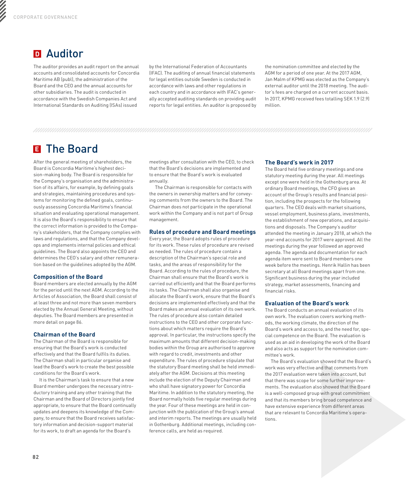# **<sup>D</sup>** Auditor

The auditor provides an audit report on the annual accounts and consolidated accounts for Concordia Maritime AB (publ), the administration of the Board and the CEO and the annual accounts for other subsidiaries. The audit is conducted in accordance with the Swedish Companies Act and International Standards on Auditing (ISAs) issued

by the International Federation of Accountants (IFAC). The auditing of annual financial statements for legal entities outside Sweden is conducted in accordance with laws and other regulations in each country and in accordance with IFAC's generally accepted auditing standards on providing audit reports for legal entities. An auditor is proposed by the nomination committee and elected by the AGM for a period of one year. At the 2017 AGM, Jan Malm of KPMG was elected as the Company's external auditor until the 2018 meeting. The auditor's fees are charged on a current account basis. In 2017, KPMG received fees totalling SEK 1.9 (2.9) million.

# **<sup>E</sup>**The Board

After the general meeting of shareholders, the Board is Concordia Maritime's highest decision-making body. The Board is responsible for the Company's organisation and the administration of its affairs, for example, by defining goals and strategies, maintaining procedures and systems for monitoring the defined goals, continuously assessing Concordia Maritime's financial situation and evaluating operational management. It is also the Board's responsibility to ensure that the correct information is provided to the Company's stakeholders, that the Company complies with laws and regulations, and that the Company develops and implements internal policies and ethical guidelines. The Board also appoints the CEO and determines the CEO's salary and other remuneration based on the guidelines adopted by the AGM.

# **Composition of the Board**

Board members are elected annually by the AGM for the period until the next AGM. According to the Articles of Association, the Board shall consist of at least three and not more than seven members elected by the Annual General Meeting, without deputies. The Board members are presented in more detail on page 86.

# **Chairman of the Board**

The Chairman of the Board is responsible for ensuring that the Board's work is conducted effectively and that the Board fulfils its duties. The Chairman shall in particular organise and lead the Board's work to create the best possible conditions for the Board's work.

It is the Chairman's task to ensure that a new Board member undergoes the necessary introductory training and any other training that the Chairman and the Board of Directors jointly find appropriate, to ensure that the Board continually updates and deepens its knowledge of the Company, to ensure that the Board receives satisfactory information and decision-support material for its work, to draft an agenda for the Board's

meetings after consultation with the CEO, to check that the Board's decisions are implemented and to ensure that the Board's work is evaluated annually.

The Chairman is responsible for contacts with the owners in ownership matters and for conveying comments from the owners to the Board. The Chairman does not participate in the operational work within the Company and is not part of Group management.

# **Rules of procedure and Board meetings**

Every year, the Board adopts rules of procedure for its work. These rules of procedure are revised as needed. The rules of procedure contain a description of the Chairman's special role and tasks, and the areas of responsibility for the Board. According to the rules of procedure, the Chairman shall ensure that the Board's work is carried out efficiently and that the Board performs its tasks. The Chairman shall also organise and allocate the Board's work, ensure that the Board's decisions are implemented effectively and that the Board makes an annual evaluation of its own work. The rules of procedure also contain detailed instructions to the CEO and other corporate functions about which matters require the Board's approval. In particular, the instructions specify the maximum amounts that different decision-making bodies within the Group are authorised to approve with regard to credit, investments and other expenditure. The rules of procedure stipulate that the statutory Board meeting shall be held immediately after the AGM. Decisions at this meeting include the election of the Deputy Chairman and who shall have signatory power for Concordia Maritime. In addition to the statutory meeting, the Board normally holds five regular meetings during the year. Four of these meetings are held in conjunction with the publication of the Group's annual and interim reports. The meetings are usually held in Gothenburg. Additional meetings, including conference calls, are held as required.

# **The Board's work in 2017**

The Board held five ordinary meetings and one statutory meeting during the year. All meetings except one were held in the Gothenburg area. At ordinary Board meetings, the CFO gives an account of the Group's results and financial position, including the prospects for the following quarters. The CEO deals with market situations, vessel employment, business plans, investments, the establishment of new operations, and acquisitions and disposals. The Company's auditor attended the meeting in January 2018, at which the year-end accounts for 2017 were approved. All the meetings during the year followed an approved agenda. The agenda and documentation for each agenda item were sent to Board members one week before the meetings. Henrik Hallin has been secretary at all Board meetings apart from one. Significant business during the year included strategy, market assessments, financing and financial risks.

# **Evaluation of the Board's work**

The Board conducts an annual evaluation of its own work. The evaluation covers working methods, the working climate, the direction of the Board's work and access to, and the need for, special competence on the Board. The evaluation is used as an aid in developing the work of the Board and also acts as support for the nomination committee's work.

The Board's evaluation showed that the Board's work was very effective and that comments from the 2017 evaluation were taken into account, but that there was scope for some further improvements. The evaluation also showed that the Board is a well-composed group with great commitment and that its members bring broad competence and have extensive experience from different areas that are relevant to Concordia Maritime's operations.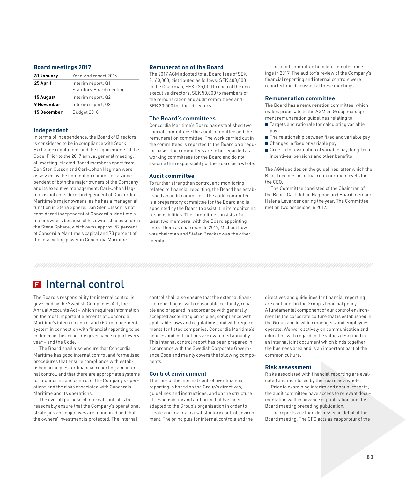# **Board meetings 2017**

| 31 January  | Year-end report 2016                                 |
|-------------|------------------------------------------------------|
| 25 April    | Interim report, Q1<br><b>Statutory Board meeting</b> |
| 15 August   | Interim report, Q2                                   |
| 9 November  | Interim report, Q3                                   |
| 15 December | Budget 2018                                          |

### **Independent**

In terms of independence, the Board of Directors is considered to be in compliance with Stock Exchange regulations and the requirements of the Code. Prior to the 2017 annual general meeting, all meeting-elected Board members apart from Dan Sten Olsson and Carl-Johan Hagman were assessed by the nomination committee as independent of both the major owners of the Company and its executive management. Carl-Johan Hagman is not considered independent of Concordia Maritime's major owners, as he has a managerial function in Stena Sphere. Dan Sten Olsson is not considered independent of Concordia Maritime's major owners because of his ownership position in the Stena Sphere, which owns approx. 52 percent of Concordia Maritime's capital and 73 percent of the total voting power in Concordia Maritime.

## **Remuneration of the Board**

The 2017 AGM adopted total Board fees of SEK 2,160,000, distributed as follows: SEK 400,000 to the Chairman, SEK 225,000 to each of the nonexecutive directors, SEK 50,000 to members of the remuneration and audit committees and SEK 30,000 to other directors.

### **The Board's committees**

Concordia Maritime's Board has established two special committees: the audit committee and the remuneration committee. The work carried out in the committees is reported to the Board on a regular basis. The committees are to be regarded as working committees for the Board and do not assume the responsibility of the Board as a whole.

### **Audit committee**

To further strengthen control and monitoring related to financial reporting, the Board has established an audit committee. The audit committee is a preparatory committee for the Board and is appointed by the Board to assist it in its monitoring responsibilities. The committee consists of at least two members, with the Board appointing one of them as chairman. In 2017, Michael Löw was chairman and Stefan Brocker was the other member.

The audit committee held four minuted meetings in 2017. The auditor's review of the Company's financial reporting and internal controls were reported and discussed at these meetings.

### **Remuneration committee**

The Board has a remuneration committee, which makes proposals to the AGM on Group management remuneration quidelines relating to:

- Targets and rationale for calculating variable pay
- The relationship between fixed and variable pay ■ Changes in fixed or variable pay
- Criteria for evaluation of variable pay, long-term incentives, pensions and other benefits

The AGM decides on the guidelines, after which the Board decides on actual remuneration levels for the CEO.

The Committee consisted of the Chairman of the Board Carl-Johan Hagman and Board member Helena Levander during the year. The Committee met on two occasions in 2017.

# **F**Internal control

The Board's responsibility for internal control is governed by the Swedish Companies Act, the Annual Accounts Act – which requires information on the most important elements of Concordia Maritime's internal control and risk management system in connection with financial reporting to be included in the corporate governance report every year – and the Code.

The Board shall also ensure that Concordia Maritime has good internal control and formalised procedures that ensure compliance with established principles for financial reporting and internal control, and that there are appropriate systems for monitoring and control of the Company's operations and the risks associated with Concordia Maritime and its operations.

The overall purpose of internal control is to reasonably ensure that the Company's operational strategies and objectives are monitored and that the owners' investment is protected. The internal

control shall also ensure that the external financial reporting is, with reasonable certainty, reliable and prepared in accordance with generally accepted accounting principles, compliance with applicable laws and regulations, and with requirements for listed companies. Concordia Maritime's policies and instructions are evaluated annually. This internal control report has been prepared in accordance with the Swedish Corporate Governance Code and mainly covers the following components.

## **Control environment**

The core of the internal control over financial reporting is based on the Group's directives, guidelines and instructions, and on the structure of responsibility and authority that has been adapted to the Group's organisation in order to create and maintain a satisfactory control environment. The principles for internal controls and the

directives and guidelines for financial reporting are contained in the Group's financial policy. A fundamental component of our control environment is the corporate culture that is established in the Group and in which managers and employees operate. We work actively on communication and education with regard to the values described in an internal joint document which binds together the business area and is an important part of the common culture.

### **Risk assessment**

Risks associated with financial reporting are evaluated and monitored by the Board as a whole.

Prior to examining interim and annual reports, the audit committee have access to relevant documentation well in advance of publication and the Board meeting preceding publication.

The reports are then discussed in detail at the Board meeting. The CFO acts as rapporteur of the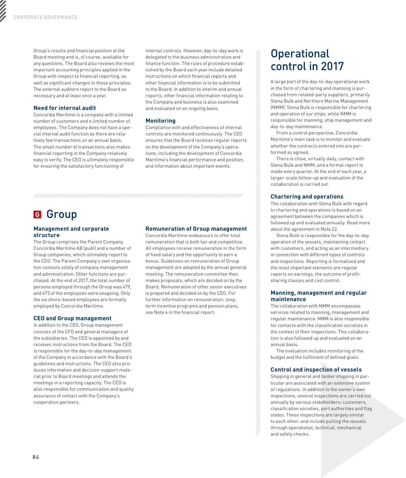Group's results and financial position at the Board meeting and is, of course, available for any questions. The Board also reviews the most important accounting principles applied in the Group with respect to financial reporting, as well as significant changes to these principles. The external auditors report to the Board as necessary and at least once a year.

# **Need for internal audit**

Concordia Maritime is a company with a limited number of customers and a limited number of employees. The Company does not have a special internal audit function as there are relatively few transactions on an annual basis. The small number of transactions also makes financial reporting in the Company relatively easy to verify. The CEO is ultimately responsible for ensuring the satisfactory functioning of

internal controls. However, day-to-day work is delegated to the business administration and finance function. The rules of procedure established by the Board each year include detailed instructions on which financial reports and other financial information is to be submitted to the Board. In addition to interim and annual reports, other financial information relating to the Company and business is also examined and evaluated on an ongoing basis.

# **Monitoring**

Compliance with and effectiveness of internal controls are monitored continuously. The CEO ensures that the Board receives regular reports on the development of the Company's operations, including the development of Concordia Maritime's financial performance and position, and information about important events.

# **<sup>G</sup>** Group

# **Management and corporate structure**

The Group comprises the Parent Company Concordia Maritime AB (publ) and a number of Group companies, which ultimately report to the CEO. The Parent Company's own organisation consists solely of company management and administration. Other functions are purchased. At the end of 2017, the total number of persons employed through the Group was 479, and 473 of the employees were seagoing. Only the six shore-based employees are formally employed by Concordia Maritime.

### **CEO and Group management**

In addition to the CEO, Group management consists of the CFO and general managers of the subsidiaries. The CEO is appointed by and receives instructions from the Board. The CEO is responsible for the day-to-day management of the Company in accordance with the Board's guidelines and instructions. The CEO also produces information and decision-support material prior to Board meetings and attends the meetings in a reporting capacity. The CEO is also responsible for communication and quality assurance of contact with the Company's cooperation partners.

# **Remuneration of Group management**

Concordia Maritime endeavours to offer total remuneration that is both fair and competitive. All employees receive remuneration in the form of fixed salary and the opportunity to earn a bonus. Guidelines on remuneration of Group management are adopted by the annual general meeting. The remuneration committee then makes proposals, which are decided on by the Board. Remuneration of other senior executives is prepared and decided on by the CEO. For further information on remuneration, longterm incentive programs and pension plans, see Note 4 in the financial report.

# **Operational** control in 2017

A large part of the day-to-day operational work in the form of chartering and manning is purchased from related-party suppliers, primarily Stena Bulk and Northern Marine Management (NMM). Stena Bulk is responsible for chartering and operation of our ships, while NMM is responsible for manning, ship management and day-to-day maintenance.

From a control perspective, Concordia Maritime's main task is to monitor and evaluate whether the contracts entered into are performed as agreed.

There is close, virtually daily, contact with Stena Bulk and NMM, and a formal report is made every quarter. At the end of each year, a larger-scale follow-up and evaluation of the collaboration is carried out.

# **Chartering and operations**

The collaboration with Stena Bulk with regard to chartering and operations is based on an agreement between the companies which is followed up and evaluated annually. Read more about the agreement in Note 22.

Stena Bulk is responsible for the day-to-day operation of the vessels, maintaining contact with customers, and acting as an intermediary in connection with different types of controls and inspections. Reporting is formalised and the most important elements are regular reports on earnings, the outcome of profitsharing clauses and cost control.

# **Manning, management and regular maintenance**

The collaboration with NMM encompasses services related to manning, management and regular maintenance. NMM is also responsible for contacts with the classification societies in the context of their inspections. This collaboration is also followed up and evaluated on an annual basis.

The evaluation includes monitoring of the budget and the fulfilment of defined goals.

# **Control and inspection of vessels**

Shipping in general and tanker shipping in particular are associated with an extensive system of regulations. In addition to the owner's own inspections, several inspections are carried out annually by various stakeholders: customers, classification societies, port authorities and flag states. These inspections are largely similar to each other; and include putting the vessels through operational, technical, mechanical and safety checks.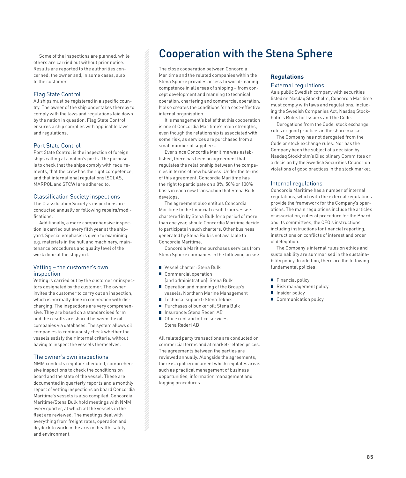others are carried out without prior notice. Results are reported to the authorities concerned, the owner and, in some cases, also to the customer.

# Flag State Control

All ships must be registered in a specific country. The owner of the ship undertakes thereby to comply with the laws and regulations laid down by the nation in question. Flag State Control ensures a ship complies with applicable laws and regulations.

# Port State Control

Port State Control is the inspection of foreign ships calling at a nation's ports. The purpose is to check that the ships comply with requirements, that the crew has the right competence, and that international regulations (SOLAS, MARPOL and STCW) are adhered to.

### Classification Society inspections

The Classification Society's inspections are conducted annually or following repairs/modifications.

Additionally, a more comprehensive inspection is carried out every fifth year at the shipyard. Special emphasis is given to examining e.g. materials in the hull and machinery, maintenance procedures and quality level of the work done at the shipyard.

## Vetting – the customer's own inspection

Vetting is carried out by the customer or inspectors designated by the customer. The owner invites the customer to carry out an inspection, which is normally done in connection with discharging. The inspections are very comprehensive. They are based on a standardised form and the results are shared between the oil companies via databases. The system allows oil companies to continuously check whether the vessels satisfy their internal criteria, without having to inspect the vessels themselves.

### The owner's own inspections

NMM conducts regular scheduled, comprehensive inspections to check the conditions on board and the state of the vessel. These are documented in quarterly reports and a monthly report of vetting inspections on board Concordia Maritime's vessels is also compiled. Concordia Maritime/Stena Bulk hold meetings with NMM every quarter, at which all the vessels in the fleet are reviewed. The meetings deal with everything from freight rates, operation and drydock to work in the area of health, safety and environment.

# Some of the inspections are planned, while **Cooperation with the Stena Sphere**

The close cooperation between Concordia Maritime and the related companies within the Stena Sphere provides access to world-leading competence in all areas of shipping – from concept development and manning to technical operation, chartering and commercial operation. It also creates the conditions for a cost-effective internal organisation.

It is management's belief that this cooperation is one of Concordia Maritime's main strengths, even though the relationship is associated with some risk, as services are purchased from a small number of suppliers.

Ever since Concordia Maritime was established, there has been an agreement that regulates the relationship between the companies in terms of new business. Under the terms of this agreement, Concordia Maritime has the right to participate on a 0%, 50% or 100% basis in each new transaction that Stena Bulk develops.

The agreement also entitles Concordia Maritime to the financial result from vessels chartered in by Stena Bulk for a period of more than one year, should Concordia Maritime decide to participate in such charters. Other business generated by Stena Bulk is not available to Concordia Maritime.

Concordia Maritime purchases services from Stena Sphere companies in the following areas:

- Vessel charter: Stena Bulk
- Commercial operation
- (and administration): Stena Bulk
- Operation and manning of the Group's vessels: Northern Marine Management
- Technical support: Stena Teknik **Purchases of bunker oil: Stena Bulk**
- Insurance: Stena Rederi AB
- 
- Office rent and office services. Stena Rederi AB

All related party transactions are conducted on commercial terms and at market-related prices. The agreements between the parties are reviewed annually. Alongside the agreements, there is a policy document which regulates areas such as practical management of business opportunities, information management and logging procedures.

# **Regulations**

# External regulations

As a public Swedish company with securities listed on Nasdaq Stockholm, Concordia Maritime must comply with laws and regulations, including the Swedish Companies Act, Nasdaq Stockholm's Rules for Issuers and the Code.

Derogations from the Code, stock exchange rules or good practices in the share market

The Company has not derogated from the Code or stock exchange rules. Nor has the Company been the subject of a decision by Nasdaq Stockholm's Disciplinary Committee or a decision by the Swedish Securities Council on violations of good practices in the stock market.

### Internal regulations

Concordia Maritime has a number of internal regulations, which with the external regulations provide the framework for the Company's operations. The main regulations include the articles of association, rules of procedure for the Board and its committees, the CEO's instructions, including instructions for financial reporting, instructions on conflicts of interest and order of delegation.

The Company's internal rules on ethics and sustainability are summarised in the sustainability policy. In addition, there are the following fundamental policies:

- Financial policy
- Risk management policy
- **Insider policy**
- Communication policy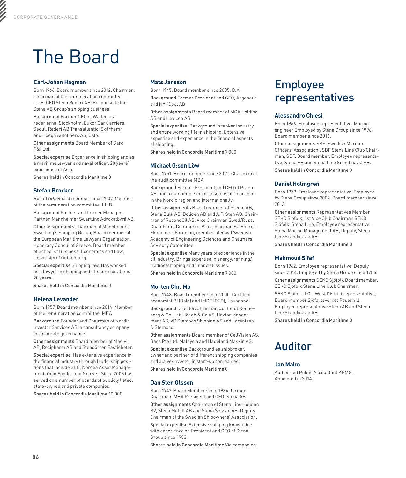# The Board

# **Carl-Johan Hagman**

Born 1966. Board member since 2012. Chairman. Chairman of the remuneration committee. LL.B. CEO Stena Rederi AB. Responsible for Stena AB Group's shipping business.

Background Former CEO of Walleniusrederierna, Stockholm, Eukor Car Carriers, Seoul, Rederi AB Transatlantic, Skärhamn and Höegh Autoliners AS, Oslo.

Other assignments Board Member of Gard P&I Ltd.

Special expertise Experience in shipping and as a maritime lawyer and naval officer. 20 years' experience of Asia.

Shares held in Concordia Maritime 0

# **Stefan Brocker**

Born 1966. Board member since 2007. Member of the remuneration committee. LL.B.

Background Partner and former Managing Partner, Mannheimer Swartling Advokatbyrå AB.

Other assignments Chairman of Mannheimer Swartling's Shipping Group, Board member of the European Maritime Lawyers Organisation, Honorary Consul of Greece. Board member of School of Business, Economics and Law, University of Gothenburg

Special expertise Shipping law. Has worked as a lawyer in shipping and offshore for almost 20 years.

Shares held in Concordia Maritime 0

# **Helena Levander**

Born 1957. Board member since 2014. Member of the remuneration committee. MBA

Background Founder and Chairman of Nordic Investor Services AB, a consultancy company in corporate governance.

Other assignments Board member of Medivir AB, Recipharm AB and Stendörren Fastigheter.

Special expertise Has extensive experience in the financial industry through leadership positions that include SEB, Nordea Asset Management, Odin Fonder and NeoNet. Since 2003 has served on a number of boards of publicly listed, state-owned and private companies.

Shares held in Concordia Maritime 10,000

# **Mats Jansson**

Born 1945. Board member since 2005. B.A.

Background Former President and CEO, Argonaut and NYKCool AB.

Other assignments Board member of MGA Holding AB and Hexicon AB.

Special expertise Background in tanker industry and entire working life in shipping. Extensive expertise and experience in the financial aspects of shipping.

Shares held in Concordia Maritime 7,000

# **Michael G:son Löw**

Born 1951. Board member since 2012. Chairman of the audit committee MBA

Background Former President and CEO of Preem AB, and a number of senior positions at Conoco Inc. in the Nordic region and internationally.

Other assignments Board member of Preem AB, Stena Bulk AB, Boliden AB and A.P. Sten AB. Chairman of RecondOil AB. Vice Chairman Swed/Russ. Chamber of Commerce, Vice Chairman Sv. Energi-Ekonomisk Förening, member of Royal Swedish Academy of Engineering Sciences and Chalmers Advisory Committee.

Special expertise Many years of experience in the oil industry. Brings expertise in energy/refining/ trading/shipping and financial issues.

Shares held in Concordia Maritime 7,000

# **Morten Chr. Mo**

Born 1948. Board member since 2000. Certified economist BI (Oslo) and IMDE (PED), Lausanne.

Background Director/Chairman Quillfeldt Rönneberg & Co, Leif Höegh & Co AS, Havtor Management AS, VD Stemoco Shipping AS and Lorentzen & Stemoco.

Other assignments Board member of CellVision AS, Bass Pte Ltd. Malaysia and Hadeland Maskin AS. Special expertise Background as shipbroker, owner and partner of different shipping companies and active/investor in start-up companies. Shares held in Concordia Maritime 0

# **Dan Sten Olsson**

Born 1947. Board Member since 1984, former Chairman. MBA President and CEO, Stena AB.

Other assignments Chairman of Stena Line Holding BV, Stena Metall AB and Stena Sessan AB. Deputy Chairman of the Swedish Shipowners' Association.

Special expertise Extensive shipping knowledge with experience as President and CEO of Stena Group since 1983.

Shares held in Concordia Maritime Via companies.

# Employee representatives

# **Alessandro Chiesi**

Born 1966. Employee representative. Marine engineer Employed by Stena Group since 1996. Board member since 2016.

Other assignments SBF (Swedish Maritime Officers' Association), SBF Stena Line Club Chairman, SBF. Board member, Employee representative, Stena AB and Stena Line Scandinavia AB.

Shares held in Concordia Maritime 0

# **Daniel Holmgren**

Born 1979. Employee representative. Employed by Stena Group since 2002. Board member since 2013.

Other assignments Representatives Member SEKO Sjöfolk, 1st Vice Club Chairman SEKO Sjöfolk, Stena Line, Employee representative, Stena Marine Management AB, Deputy, Stena Line Scandinavia AB.

Shares held in Concordia Maritime 0

# **Mahmoud Sifaf**

Born 1962. Employee representative. Deputy since 2014. Employed by Stena Group since 1986. Other assignments SEKO Sjöfolk Board member, SEKO Sjöfolk Stena Line Club Chairman,

SEKO Sjöfolk: LO – West District representative, Board member Sjöfartsverket Rosenhill. Employee representative Stena AB and Stena Line Scandinavia AB.

Shares held in Concordia Maritime 0

# Auditor

# **Jan Malm**

Authorised Public Accountant KPMG. Appointed in 2014.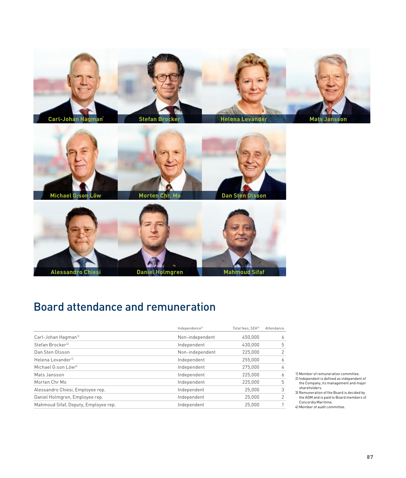



**Michael G:son Löw**

**Morten Chr. Mo**





# Board attendance and remuneration

|                                      | Independence <sup>2)</sup> | Total fees, SEK <sup>3]</sup> | Attendance |
|--------------------------------------|----------------------------|-------------------------------|------------|
| Carl-Johan Hagman <sup>11</sup>      | Non-independent            | 450.000                       | 6          |
| Stefan Brocker <sup>41</sup>         | Independent                | 430.000                       | 5          |
| Dan Sten Olsson                      | Non-independent            | 225,000                       | 2          |
| Helena Levander <sup>1)</sup>        | Independent                | 255,000                       | 6          |
| Michael G:son Löw <sup>4]</sup>      | Independent                | 275,000                       | 4          |
| Mats Jansson                         | Independent                | 225,000                       | 6          |
| Morten Chr Mo                        | Independent                | 225,000                       | 5          |
| Alessandro Chiesi, Employee rep.     | Independent                | 25,000                        | 3          |
| Daniel Holmgren, Employee rep.       | Independent                | 25,000                        | 2          |
| Mahmoud Sifaf, Deputy, Employee rep. | Independent                | 25,000                        | 1          |
|                                      |                            |                               |            |

1) Member of remuneration committee.

- 2) Independent is defined as independent of the Company, its management and major shareholders.
- 3) Remuneration of the Board is decided by the AGM and is paid to Board members of Concordia Maritime.

<sup>4)</sup> Member of audit committee.